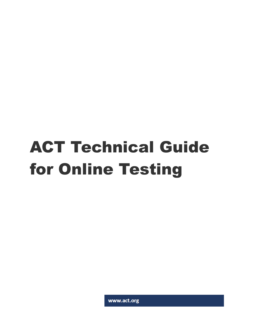# ACT Technical Guide for Online Testing

www.act.org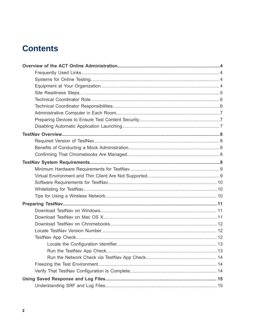# **Contents**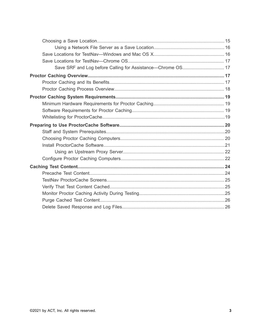| Save SRF and Log before Calling for Assistance-Chrome OS 17 |  |
|-------------------------------------------------------------|--|
|                                                             |  |
|                                                             |  |
|                                                             |  |
|                                                             |  |
|                                                             |  |
|                                                             |  |
|                                                             |  |
|                                                             |  |
|                                                             |  |
|                                                             |  |
|                                                             |  |
|                                                             |  |
|                                                             |  |
|                                                             |  |
|                                                             |  |
|                                                             |  |
|                                                             |  |
|                                                             |  |
|                                                             |  |
|                                                             |  |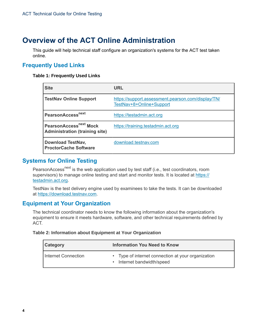# <span id="page-3-0"></span>**Overview of the ACT Online Administration**

This guide will help technical staff configure an organization's systems for the ACT test taken online.

# <span id="page-3-1"></span>**Frequently Used Links**

#### **Table 1: Frequently Used Links**

| <b>Site</b>                                                                 | <b>URL</b>                                                                     |
|-----------------------------------------------------------------------------|--------------------------------------------------------------------------------|
| <b>TestNav Online Support</b>                                               | https://support.assessment.pearson.com/display/TN/<br>TestNav+8+Online+Support |
| PearsonAccess <sup>next</sup>                                               | https://testadmin.act.org                                                      |
| PearsonAccess <sup>next</sup> Mock<br><b>Administration (training site)</b> | https://training.testadmin.act.org                                             |
| <b>Download TestNav,</b><br><b>ProctorCache Software</b>                    | download.testnav.com                                                           |

# <span id="page-3-2"></span>**Systems for Online Testing**

PearsonAccess<sup>next</sup> is the web application used by test staff (i.e., test coordinators, room supervisors) to manage online testing and start and monitor tests. It is located at [https://](https://testadmin.act.org) [testadmin.act.org](https://testadmin.act.org).

TestNav is the test delivery engine used by examinees to take the tests. It can be downloaded at [https://download.testnav.com.](https://download.testnav.com)

# <span id="page-3-3"></span>**Equipment at Your Organization**

The technical coordinator needs to know the following information about the organization's equipment to ensure it meets hardware, software, and other technical requirements defined by ACT.

#### **Table 2: Information about Equipment at Your Organization**

| <b>Category</b>     | <b>Information You Need to Know</b>                                                         |  |
|---------------------|---------------------------------------------------------------------------------------------|--|
| Internet Connection | • Type of internet connection at your organization<br>Internet bandwidth/speed<br>$\bullet$ |  |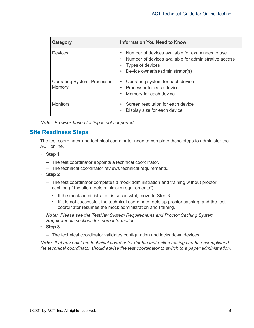| Category                               | <b>Information You Need to Know</b>                                                                                                                               |
|----------------------------------------|-------------------------------------------------------------------------------------------------------------------------------------------------------------------|
| <b>Devices</b>                         | Number of devices available for examinees to use<br>Number of devices available for administrative access<br>Types of devices<br>Device owner(s)/administrator(s) |
| Operating System, Processor,<br>Memory | Operating system for each device<br>Processor for each device<br>Memory for each device                                                                           |
| <b>Monitors</b>                        | Screen resolution for each device<br>Display size for each device                                                                                                 |

*Note: Browser-based testing is not supported.*

# <span id="page-4-0"></span>**Site Readiness Steps**

The test coordinator and technical coordinator need to complete these steps to administer the ACT online.

- **Step 1**
	- The test coordinator appoints a technical coordinator.
	- The technical coordinator reviews technical requirements.
- **Step 2**
	- The test coordinator completes a mock administration and training without proctor caching (if the site meets minimum requirements\*).
		- If the mock administration is successful, move to Step 3.
		- If it is not successful, the technical coordinator sets up proctor caching, and the test coordinator resumes the mock administration and training.

*Note: Please see the TestNav System Requirements and Proctor Caching System Requirements sections for more information.*

- **Step 3**
	- The technical coordinator validates configuration and locks down devices.

*Note: If at any point the technical coordinator doubts that online testing can be accomplished, the technical coordinator should advise the test coordinator to switch to a paper administration.*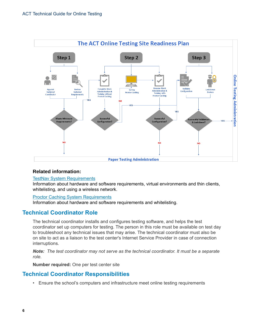

#### **Related information:**

#### TestNav System [Requirements](#page-7-4)

Information about hardware and software requirements, virtual environments and thin clients, whitelisting, and using a wireless network.

#### [Proctor Caching System Requirements](#page-18-0)

Information about hardware and software requirements and whitelisting.

# <span id="page-5-0"></span>**Technical Coordinator Role**

The technical coordinator installs and configures testing software, and helps the test coordinator set up computers for testing. The person in this role must be available on test day to troubleshoot any technical issues that may arise. The technical coordinator must also be on site to act as a liaison to the test center's Internet Service Provider in case of connection interruptions.

*Note: The test coordinator may not serve as the technical coordinator. It must be a separate role.*

**Number required:** One per test center site

# <span id="page-5-1"></span>**Technical Coordinator Responsibilities**

• Ensure the school's computers and infrastructure meet online testing requirements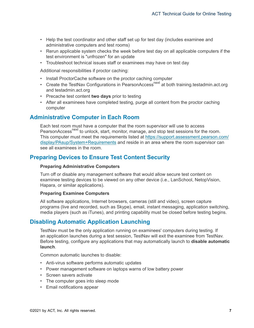- Help the test coordinator and other staff set up for test day (includes examinee and administrative computers and test rooms)
- Rerun applicable system checks the week before test day on all applicable computers if the test environment is "unfrozen" for an update
- Troubleshoot technical issues staff or examinees may have on test day

Additional responsibilities if proctor caching:

- Install ProctorCache software on the proctor caching computer
- Create the TestNay Configurations in PearsonAccess<sup>next</sup> at both training testadmin.act.org and testadmin.act.org
- Precache test content **two days** prior to testing
- After all examinees have completed testing, purge all content from the proctor caching computer

# <span id="page-6-0"></span>**Administrative Computer in Each Room**

Each test room must have a computer that the room supervisor will use to access PearsonAccess<sup>next</sup> to unlock, start, monitor, manage, and stop test sessions for the room. This computer must meet the requirements listed at [https://support.assessment.pearson.com/](https://support.assessment.pearson.com/display/PAsup/System+Requirements) [display/PAsup/System+Requirements](https://support.assessment.pearson.com/display/PAsup/System+Requirements) and reside in an area where the room supervisor can see all examinees in the room.

# <span id="page-6-1"></span>**Preparing Devices to Ensure Test Content Security**

#### **Preparing Administrative Computers**

Turn off or disable any management software that would allow secure test content on examinee testing devices to be viewed on any other device (i.e., LanSchool, NetopVision, Hapara, or similar applications).

#### **Preparing Examinee Computers**

All software applications, Internet browsers, cameras (still and video), screen capture programs (live and recorded, such as Skype), email, instant messaging, application switching, media players (such as iTunes), and printing capability must be closed before testing begins.

# <span id="page-6-2"></span>**Disabling Automatic Application Launching**

TestNav must be the only application running on examinees' computers during testing. If an application launches during a test session, TestNav will exit the examinee from TestNav. Before testing, configure any applications that may automatically launch to **disable automatic launch**.

Common automatic launches to disable:

- Anti-virus software performs automatic updates
- Power management software on laptops warns of low battery power
- Screen savers activate
- The computer goes into sleep mode
- Email notifications appear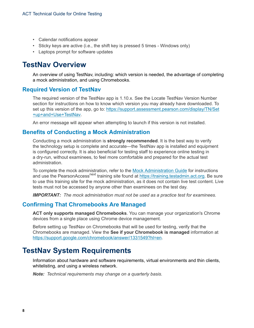- Calendar notifications appear
- Sticky keys are active (i.e., the shift key is pressed 5 times Windows only)
- Laptops prompt for software updates

# <span id="page-7-0"></span>**TestNav Overview**

An overview of using TestNav, including: which version is needed, the advantage of completing a mock administration, and using Chromebooks.

#### <span id="page-7-1"></span>**Required Version of TestNav**

The required version of the TestNav app is 1.10.x. See the Locate TestNav Version Number section for instructions on how to know which version you may already have downloaded. To set up this version of the app, go to: [https://support.assessment.pearson.com/display/TN/Set](https://support.assessment.pearson.com/display/TN/Set+up+and+Use+TestNav) [+up+and+Use+TestNav.](https://support.assessment.pearson.com/display/TN/Set+up+and+Use+TestNav)

An error message will appear when attempting to launch if this version is not installed.

#### <span id="page-7-2"></span>**Benefits of Conducting a Mock Administration**

Conducting a mock administration is **strongly recommended**. It is the best way to verify the technology setup is complete and accurate—the TestNav app is installed and equipment is configured correctly. It is also beneficial for testing staff to experience online testing in a dry-run, without examinees, to feel more comfortable and prepared for the actual test administration.

To complete the mock administration, refer to the [Mock Administration Guide](https://www.act.org/content/dam/act/unsecured/documents/MockAdminGuideACTOnlineS&D.pdf) for instructions and use the PearsonAccess<sup>next</sup> training site found at [https://training.testadmin.act.org.](https://training.testadmin.act.org) Be sure to use this training site for the mock administration, as it does not contain live test content. Live tests must not be accessed by anyone other than examinees on the test day.

*IMPORTANT: The mock administration must not be used as a practice test for examinees.*

# <span id="page-7-3"></span>**Confirming That Chromebooks Are Managed**

**ACT only supports managed Chromebooks**. You can manage your organization's Chrome devices from a single place using Chrome device management.

Before setting up TestNav on Chromebooks that will be used for testing, verify that the Chromebooks are managed. View the **See if your Chromebook is managed** information at [https://support.google.com/chromebook/answer/1331549?hl=en.](https://support.google.com/chromebook/answer/1331549?hl=en)

# <span id="page-7-4"></span>**TestNav System Requirements**

Information about hardware and software requirements, virtual environments and thin clients, whitelisting, and using a wireless network.

*Note: Technical requirements may change on a quarterly basis.*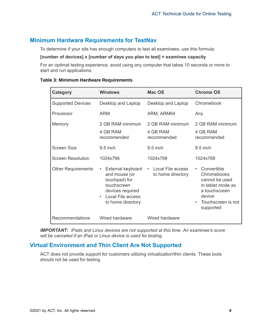# <span id="page-8-0"></span>**Minimum Hardware Requirements for TestNav**

To determine if your site has enough computers to test all examinees, use this formula:

#### **[number of devices] x [number of days you plan to test] = examinee capacity**

For an optimal testing experience, avoid using any computer that takes 10 seconds or more to start and run applications.

| Category                  | <b>Windows</b>                                                                                                                                | Mac OS                                      | <b>Chrome OS</b>                                                                                                                                          |
|---------------------------|-----------------------------------------------------------------------------------------------------------------------------------------------|---------------------------------------------|-----------------------------------------------------------------------------------------------------------------------------------------------------------|
| <b>Supported Devices</b>  | Desktop and Laptop                                                                                                                            | Desktop and Laptop                          | Chromebook                                                                                                                                                |
| Processor                 | <b>ARM</b>                                                                                                                                    | ARM, ARM64                                  | Any                                                                                                                                                       |
| Memory                    | 2 GB RAM minimum<br>4 GB RAM<br>recommended                                                                                                   | 2 GB RAM minimum<br>4 GB RAM<br>recommended | 2 GB RAM minimum<br>4 GB RAM<br>recommended                                                                                                               |
| <b>Screen Size</b>        | $9.5$ inch                                                                                                                                    | $9.5$ inch                                  | $9.5$ inch                                                                                                                                                |
| <b>Screen Resolution</b>  | 1024x768                                                                                                                                      | 1024x768                                    | 1024x768                                                                                                                                                  |
| <b>Other Requirements</b> | External keyboard<br>and mouse (or<br>touchpad) for<br>touchscreen<br>devices required<br>Local File access<br>$\bullet$<br>to home directory | • Local File access<br>to home directory    | Convertible<br>$\bullet$<br>Chromebooks<br>cannot be used<br>in tablet mode as<br>a touchscreen<br>device<br>Touchscreen is not<br>$\bullet$<br>supported |
| Recommendations           | Wired hardware                                                                                                                                | Wired hardware                              |                                                                                                                                                           |

#### **Table 3: Minimum Hardware Requirements**

*IMPORTANT: iPads and Linux devices are not supported at this time. An examinee's score will be canceled if an iPad or Linux device is used for testing.*

# <span id="page-8-1"></span>**Virtual Environment and Thin Client Are Not Supported**

ACT does not provide support for customers utilizing virtualization/thin clients. These tools should not be used for testing.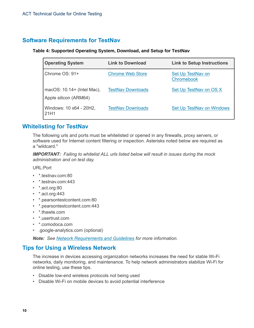# <span id="page-9-0"></span>**Software Requirements for TestNav**

#### **Table 4: Supported Operating System, Download, and Setup for TestNav**

| <b>Operating System</b>                               | <b>Link to Download</b>  | <b>Link to Setup Instructions</b>             |
|-------------------------------------------------------|--------------------------|-----------------------------------------------|
| Chrome OS: 91+                                        | <b>Chrome Web Store</b>  | <b>Set Up TestNav on</b><br><b>Chromebook</b> |
| macOS: $10.14+$ (Intel Mac),<br>Apple silicon (ARM64) | <b>TestNav Downloads</b> | Set Up TestNav on OS X                        |
| Windows: 10 x64 - 20H2,<br>21H1                       | <b>TestNav Downloads</b> | <b>Set Up TestNav on Windows</b>              |

# <span id="page-9-1"></span>**Whitelisting for TestNav**

The following urls and ports must be whitelisted or opened in any firewalls, proxy servers, or software used for Internet content filtering or inspection. Asterisks noted below are required as a "wildcard."

*IMPORTANT: Failing to whitelist ALL urls listed below will result in issues during the mock administration and on test day.*

URL:Port

- \*.testnav.com:80
- \*.testnav.com:443
- \*.act.org:80
- \*.act.org:443
- \*.pearsontestcontent.com:80
- \*.pearsontestcontent.com:443
- \*.thawte.com
- \*.usertrust.com
- \*.comodoca.com
- .google-analytics.com (optional)

*Note: See [Network Requirements and Guidelines](https://support.assessment.pearson.com/display/TN/Network+Requirements+and+Guidelines) for more information.*

# <span id="page-9-2"></span>**Tips for Using a Wireless Network**

The increase in devices accessing organization networks increases the need for stable Wi-Fi networks, daily monitoring, and maintenance. To help network administrators stabilize Wi-Fi for online testing, use these tips.

- Disable low-end wireless protocols not being used
- Disable Wi-Fi on mobile devices to avoid potential interference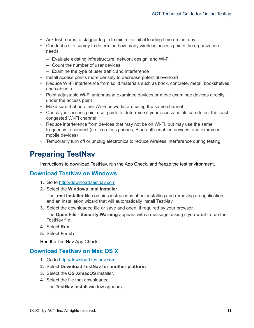- Ask test rooms to stagger log in to minimize initial loading time on test day
- Conduct a site survey to determine how many wireless access points the organization needs
	- Evaluate existing infrastructure, network design, and Wi-Fi
	- Count the number of user devices
	- Examine the type of user traffic and interference
- Install access points more densely to decrease potential overload
- Reduce Wi-Fi interference from solid materials such as brick, concrete, metal, bookshelves, and cabinets
- Point adjustable Wi-Fi antennas at examinee devices or move examinee devices directly under the access point
- Make sure that no other Wi-Fi networks are using the same channel
- Check your access point user guide to determine if your access points can detect the least congested Wi-Fi channel
- Reduce interference from devices that may not be on Wi-Fi, but may use the same frequency to connect (i.e., cordless phones, Bluetooth-enabled devices, and examinee mobile devices)
- Temporarily turn off or unplug electronics to reduce wireless interference during testing

# <span id="page-10-0"></span>**Preparing TestNav**

Instructions to download TestNav, run the App Check, and freeze the test environment.

# <span id="page-10-1"></span>**Download TestNav on Windows**

- **1.** Go to<http://download.testnav.com>.
- **2.** Select the **Windows .msi installer**.

The **.msi installer** file contains instructions about installing and removing an application and an installation wizard that will automatically install TestNav.

**3.** Select the downloaded file or save and open, if required by your browser.

The **Open File - Security Warning** appears with a message asking if you want to run the TestNav file.

- **4.** Select **Run**.
- **5.** Select **Finish**.

Run the TestNav App Check.

# <span id="page-10-2"></span>**Download TestNav on Mac OS X**

- **1.** Go to<http://download.testnav.com>.
- **2.** Select **Download TestNav for another platform**.
- **3.** Select the **OS X/macOS** installer.
- **4.** Select the file that downloaded. The **TestNav install** window appears.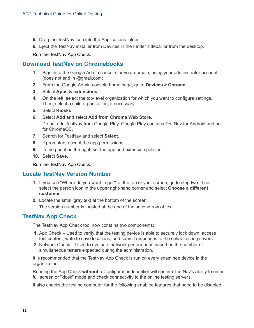- **5.** Drag the TestNav icon into the Applications folder.
- **6.** Eject the TestNav installer from Devices in the Finder sidebar or from the desktop.

Run the TestNav App Check.

# <span id="page-11-0"></span>**Download TestNav on Chromebooks**

- **1.** Sign in to the Google Admin console for your domain, using your administrator account (does not end in @gmail.com).
- **2.** From the Google Admin console home page, go to **Devices > Chrome**.
- **3.** Select **Apps & extensions**.
- **4.** On the left, select the top-level organization for which you want to configure settings. Then, select a child organization, if necessary.
- **5.** Select **Kiosks**.
- **6.** Select **Add** and select **Add from Chrome Web Store**. Do not add TestNav from Google Play. Google Play contains TestNav for Android and not for ChromeOS.
- **7.** Search for TestNav and select **Select**.
- **8.** If prompted, accept the app permissions.
- **9.** In the panel on the right, set the app and extension policies.
- **10.** Select **Save**.

Run the TestNav App Check.

# <span id="page-11-1"></span>**Locate TestNav Version Number**

- **1.** If you see "Where do you want to go?" at the top of your screen, go to step two. If not, select the person icon in the upper right-hand corner and select **Choose a different customer**.
- **2.** Locate the small gray text at the bottom of the screen.

The version number is located at the end of the second row of text.

# <span id="page-11-2"></span>**TestNav App Check**

The TestNav App Check tool now contains two components:

- **1.** App Check Used to verify that the testing device is able to securely lock down, access test content, write to save locations, and submit responses to the online testing severs.
- **2.** Network Check Used to evaluate network performance based on the number of simultaneous testers expected during the administration.

It is recommended that the TestNav App Check is run on every examinee device in the organization.

Running the App Check **without** a Configuration Identifier will confirm TestNav's ability to enter full screen or "kiosk" mode and check connectivity to the online testing servers.

It also checks the testing computer for the following enabled features that need to be disabled: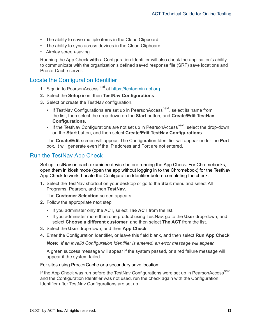- The ability to save multiple items in the Cloud Clipboard
- The ability to sync across devices in the Cloud Clipboard
- Airplay screen-saving

Running the App Check **with** a Configuration Identifier will also check the application's ability to communicate with the organization's defined saved response file (SRF) save locations and ProctorCache server.

## <span id="page-12-0"></span>Locate the Configuration Identifier

- **1.** Sign in to PearsonAccess<sup>next</sup> at [https://testadmin.act.org.](https://testadmin.act.org)
- **2.** Select the **Setup** icon, then **TestNav Configurations**.
- **3.** Select or create the TestNav configuration.
	- If TestNav Configurations are set up in PearsonAccess<sup>next</sup>, select its name from the list, then select the drop-down on the **Start** button, and **Create/Edit TestNav Configurations**.
	- If the TestNav Configurations are not set up in PearsonAccess<sup>next</sup>, select the drop-down on the **Start** button, and then select **Create/Edit TestNav Configurations**.

The **Create/Edit** screen will appear. The Configuration Identifier will appear under the **Port** box. It will generate even if the IP address and Port are not entered.

## <span id="page-12-1"></span>Run the TestNav App Check

Set up TestNav on each examinee device before running the App Check. For Chromebooks, open them in kiosk mode (open the app without logging in to the Chromebook) for the TestNav App Check to work. Locate the Configuration Identifier before completing the check.

**1.** Select the TestNav shortcut on your desktop or go to the **Start** menu and select All Programs, Pearson, and then **TestNav**.

The **Customer Selection** screen appears.

- **2.** Follow the appropriate next step.
	- If you administer only the ACT, select **The ACT** from the list.
	- If you administer more than one product using TestNav, go to the **User** drop-down, and select **Choose a different customer**, and then select **The ACT** from the list.
- **3.** Select the **User** drop-down, and then **App Check**.
- **4.** Enter the Configuration Identifier, or leave this field blank, and then select **Run App Check**.

*Note: If an invalid Configuration Identifier is entered, an error message will appear.*

A green success message will appear if the system passed, or a red failure message will appear if the system failed.

#### For sites using ProctorCache or a secondary save location:

If the App Check was run before the TestNav Configurations were set up in PearsonAccess<sup>next</sup> and the Configuration Identifier was not used, run the check again with the Configuration Identifier after TestNav Configurations are set up.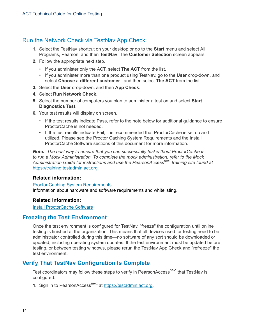# <span id="page-13-0"></span>Run the Network Check via TestNav App Check

- **1.** Select the TestNav shortcut on your desktop or go to the **Start** menu and select All Programs, Pearson, and then **TestNav**. The **Customer Selection** screen appears.
- **2.** Follow the appropriate next step.
	- If you administer only the ACT, select **The ACT** from the list.
	- If you administer more than one product using TestNav, go to the **User** drop-down, and select **Choose a different customer** , and then select **The ACT** from the list.
- **3.** Select the **User** drop-down, and then **App Check**.
- **4.** Select **Run Network Check**.
- **5.** Select the number of computers you plan to administer a test on and select **Start Diagnostics Test**.
- **6.** Your test results will display on screen.
	- If the test results indicate Pass, refer to the note below for additional guidance to ensure ProctorCache is not needed.
	- If the test results indicate Fail, it is recommended that ProctorCache is set up and utilized. Please see the Proctor Caching System Requirements and the Install ProctorCache Software sections of this document for more information.

*Note: The best way to ensure that you can successfully test without ProctorCache is to run a Mock Administration. To complete the mock administration, refer to the Mock Administration Guide for instructions and use the PearsonAccessnext training site found at* [https://training.testadmin.act.org](https://training.testadmin.act.org.)*.*

#### **Related information:**

[Proctor Caching System Requirements](#page-18-0) Information about hardware and software requirements and whitelisting.

#### **Related information:**

[Install ProctorCache Software](#page-20-0)

# <span id="page-13-1"></span>**Freezing the Test Environment**

Once the test environment is configured for TestNav, "freeze" the configuration until online testing is finished at the organization. This means that all devices used for testing need to be administrator controlled during this time—no software of any sort should be downloaded or updated, including operating system updates. If the test environment must be updated before testing, or between testing windows, please rerun the TestNav App Check and "refreeze" the test environment.

# <span id="page-13-2"></span>**Verify That TestNav Configuration Is Complete**

Test coordinators may follow these steps to verify in PearsonAccess<sup>next</sup> that TestNav is configured.

**1.** Sign in to PearsonAccess<sup>next</sup> at [https://testadmin.act.org.](https://testadmin.act.org)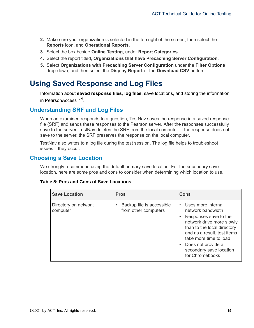- **2.** Make sure your organization is selected in the top right of the screen, then select the **Reports** icon, and **Operational Reports**.
- **3.** Select the box beside **Online Testing**, under **Report Categories**.
- **4.** Select the report titled, **Organizations that have Precaching Server Configuration**.
- **5.** Select **Organizations with Precaching Server Configuration** under the **Filter Options** drop-down, and then select the **Display Report** or the **Download CSV** button.

# <span id="page-14-0"></span>**Using Saved Response and Log Files**

Information about **saved response files**, **log files**, save locations, and storing the information in PearsonAccess<sup>next</sup>.

# <span id="page-14-1"></span>**Understanding SRF and Log Files**

When an examinee responds to a question, TestNav saves the response in a saved response file (SRF) and sends these responses to the Pearson server. After the responses successfully save to the server, TestNav deletes the SRF from the local computer. If the response does not save to the server, the SRF preserves the response on the local computer.

TestNav also writes to a log file during the test session. The log file helps to troubleshoot issues if they occur.

# <span id="page-14-2"></span>**Choosing a Save Location**

We strongly recommend using the default primary save location. For the secondary save location, here are some pros and cons to consider when determining which location to use.

#### **Table 5: Pros and Cons of Save Locations**

| <b>Save Location</b>             | <b>Pros</b>                                                    | Cons                                                                                                                                                                                                                                                                            |
|----------------------------------|----------------------------------------------------------------|---------------------------------------------------------------------------------------------------------------------------------------------------------------------------------------------------------------------------------------------------------------------------------|
| Directory on network<br>computer | Backup file is accessible<br>$\bullet$<br>from other computers | • Uses more internal<br>network bandwidth<br>Responses save to the<br>$\bullet$ .<br>network drive more slowly<br>than to the local directory<br>and as a result, test items<br>take more time to load<br>Does not provide a<br>٠<br>secondary save location<br>for Chromebooks |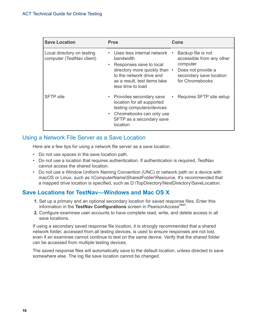| <b>Save Location</b>                                    | <b>Pros</b>                                                                                                                                                                                                    | Cons                                                                                                                            |
|---------------------------------------------------------|----------------------------------------------------------------------------------------------------------------------------------------------------------------------------------------------------------------|---------------------------------------------------------------------------------------------------------------------------------|
| Local directory on testing<br>computer (TestNav client) | Uses less internal network<br>$\bullet$<br>bandwidth<br>Responses save to local<br>$\bullet$<br>directory more quickly than •<br>to the network drive and<br>as a result, test items take<br>less time to load | Backup file is not<br>accessible from any other<br>computer<br>Does not provide a<br>secondary save location<br>for Chromebooks |
| <b>SFTP</b> site                                        | • Provides secondary save<br>location for all supported<br>testing computers/devices<br>• Chromebooks can only use<br>SFTP as a secondary save<br>location                                                     | Requires SFTP site setup                                                                                                        |

# <span id="page-15-0"></span>Using a Network File Server as a Save Location

Here are a few tips for using a network file server as a save location.

- Do not use spaces in the save location path.
- Do not use a location that requires authentication. If authentication is required, TestNav cannot access the shared location.
- Do not use a Window Uniform Naming Convention (UNC) or network path on a device with macOS or Linux, such as \\ComputerName\SharedFolder\Resource. It's recommended that a mapped drive location is specified, such as D:\TopDirectory\NextDirectory\SaveLocation.

# <span id="page-15-1"></span>**Save Locations for TestNav—Windows and Mac OS X**

- **1.** Set up a primary and an optional secondary location for saved response files. Enter this information in the TestNav Configurations screen in PearsonAccess<sup>next</sup>.
- **2.** Configure examinee user accounts to have complete read, write, and delete access in all save locations.

If using a secondary saved response file location, it is strongly recommended that a shared network folder, accessed from all testing devices, is used to ensure responses are not lost, even if an examinee cannot continue to test on the same device. Verify that the shared folder can be accessed from multiple testing devices.

The saved response files will automatically save to the default location, unless directed to save somewhere else. The log file save location cannot be changed.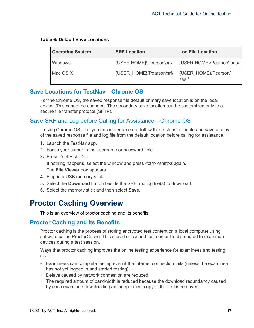| <b>Operating System</b> | <b>SRF Location</b>      | <b>Log File Location</b>      |
|-------------------------|--------------------------|-------------------------------|
| Windows                 | {USER.HOME}\Pearson\srf\ | {USER.HOME}\Pearson\logs\     |
| Mac OS X                | {USER HOME}/Pearson/srf/ | {USER HOME}/Pearson/<br>logs/ |

#### **Table 6: Default Save Locations**

# <span id="page-16-0"></span>**Save Locations for TestNav—Chrome OS**

For the Chrome OS, the saved response file default primary save location is on the local device. This cannot be changed. The secondary save location can be customized only to a secure file transfer protocol (SFTP).

# <span id="page-16-1"></span>Save SRF and Log before Calling for Assistance—Chrome OS

If using Chrome OS, and you encounter an error, follow these steps to locate and save a copy of the saved response file and log file from the default location before calling for assistance.

- **1.** Launch the TestNav app.
- **2.** Focus your cursor in the username or password field.
- **3.** Press <ctrl><shift>z.

If nothing happens, select the window and press <ctrl> <shift>z again.

The **File Viewer** box appears.

- **4.** Plug in a USB memory stick.
- **5.** Select the **Download** button beside the SRF and log file(s) to download.
- **6.** Select the memory stick and then select **Save**.

# <span id="page-16-2"></span>**Proctor Caching Overview**

This is an overview of proctor caching and its benefits.

# <span id="page-16-3"></span>**Proctor Caching and Its Benefits**

Proctor caching is the process of storing encrypted test content on a local computer using software called ProctorCache. This stored or cached test content is distributed to examinee devices during a test session.

Ways that proctor caching improves the online testing experience for examinees and testing staff:

- Examinees can complete testing even if the Internet connection fails (unless the examinee has not yet logged in and started testing).
- Delays caused by network congestion are reduced.
- The required amount of bandwidth is reduced because the download redundancy caused by each examinee downloading an independent copy of the test is removed.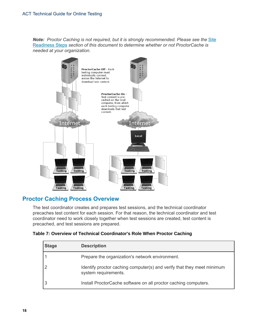**Note:** Proctor Caching is not required, but it is strongly recommended. Please see the [Site](#page-4-0) [Readiness Steps](#page-4-0) *section of this document to determine whether or not ProctorCache is needed at your organization.*



# <span id="page-17-0"></span>**Proctor Caching Process Overview**

The test coordinator creates and prepares test sessions, and the technical coordinator precaches test content for each session. For that reason, the technical coordinator and test coordinator need to work closely together when test sessions are created, test content is precached, and test sessions are prepared.

| Table 7: Overview of Technical Coordinator's Role When Proctor Caching |  |  |  |
|------------------------------------------------------------------------|--|--|--|
|------------------------------------------------------------------------|--|--|--|

| <b>Stage</b> | <b>Description</b>                                                                             |
|--------------|------------------------------------------------------------------------------------------------|
|              | Prepare the organization's network environment.                                                |
|              | Identify proctor caching computer(s) and verify that they meet minimum<br>system requirements. |
| 3            | Install ProctorCache software on all proctor caching computers.                                |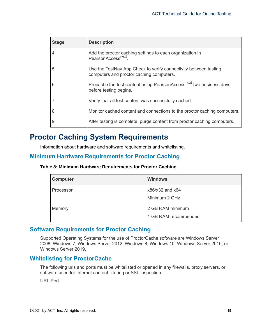| <b>Stage</b>   | <b>Description</b>                                                                                           |
|----------------|--------------------------------------------------------------------------------------------------------------|
| $\overline{4}$ | Add the proctor caching settings to each organization in<br>PearsonAccess <sup>next</sup>                    |
| 5              | Use the TestNav App Check to verify connectivity between testing<br>computers and proctor caching computers. |
| 6              | Precache the test content using PearsonAccess <sup>next</sup> two business days<br>before testing begins.    |
|                | Verify that all test content was successfully cached.                                                        |
| 8              | Monitor cached content and connections to the proctor caching computers.                                     |
| 9              | After testing is complete, purge content from proctor caching computers.                                     |

# <span id="page-18-0"></span>**Proctor Caching System Requirements**

Information about hardware and software requirements and whitelisting.

# <span id="page-18-1"></span>**Minimum Hardware Requirements for Proctor Caching**

#### **Table 8: Minimum Hardware Requirements for Proctor Caching**

| <b>Computer</b> | <b>Windows</b>                           |
|-----------------|------------------------------------------|
| Processor       | x86/x32 and x64<br>Minimum 2 GHz         |
| Memory          | 2 GB RAM minimum<br>4 GB RAM recommended |

# <span id="page-18-2"></span>**Software Requirements for Proctor Caching**

Supported Operating Systems for the use of ProctorCache software are Windows Server 2008, Windows 7, Windows Server 2012, Windows 8, Windows 10, Windows Server 2016, or Windows Server 2019.

#### <span id="page-18-3"></span>**Whitelisting for ProctorCache**

The following urls and ports must be whitelisted or opened in any firewalls, proxy servers, or software used for Internet content filtering or SSL inspection.

URL:Port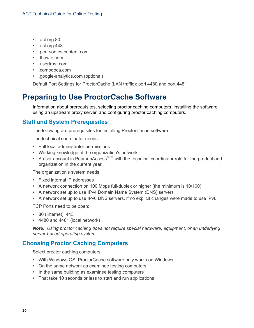- .act.org:80
- .act.org:443
- .pearsontestcontent.com
- .thawte.com
- .usertrust.com
- .comodoca.com
- .google-analytics.com (optional)

Default Port Settings for ProctorCache (LAN traffic): port 4480 and port 4481

# <span id="page-19-0"></span>**Preparing to Use ProctorCache Software**

Information about prerequisites, selecting proctor caching computers, installing the software, using an upstream proxy server, and configuring proctor caching computers.

# <span id="page-19-1"></span>**Staff and System Prerequisites**

The following are prerequisites for installing ProctorCache software.

The technical coordinator needs:

- Full local administrator permissions
- Working knowledge of the organization's network
- A user account in PearsonAccess<sup>next</sup> with the technical coordinator role for the product and organization in the current year

The organization's system needs:

- Fixed internal IP addresses
- A network connection on 100 Mbps full-duplex or higher (the minimum is 10/100)
- A network set up to use IPv4 Domain Name System (DNS) servers
- A network set up to use IPv6 DNS servers, if no explicit changes were made to use IPv6

TCP Ports need to be open:

- 80 (Internet); 443
- 4480 and 4481 (local network)

*Note: Using proctor caching does not require special hardware, equipment, or an underlying server-based operating system.*

# <span id="page-19-2"></span>**Choosing Proctor Caching Computers**

Select proctor caching computers:

- With Windows OS; ProctorCache software only works on Windows
- On the same network as examinee testing computers
- In the same building as examinee testing computers
- That take 10 seconds or less to start and run applications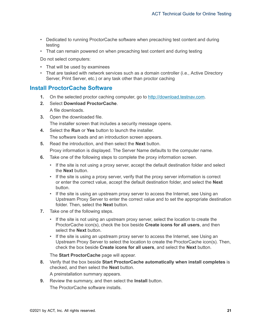- Dedicated to running ProctorCache software when precaching test content and during testing
- That can remain powered on when precaching test content and during testing

Do not select computers:

- That will be used by examinees
- That are tasked with network services such as a domain controller (i.e., Active Directory Server, Print Server, etc.) or any task other than proctor caching

# <span id="page-20-0"></span>**Install ProctorCache Software**

- **1.** On the selected proctor caching computer, go to <http://download.testnav.com>.
- **2.** Select **Download ProctorCache**. A file downloads.
- **3.** Open the downloaded file. The installer screen that includes a security message opens.
- **4.** Select the **Run** or **Yes** button to launch the installer. The software loads and an introduction screen appears.
- **5.** Read the introduction, and then select the **Next** button. Proxy information is displayed. The Server Name defaults to the computer name.
- **6.** Take one of the following steps to complete the proxy information screen.
	- If the site is not using a proxy server, accept the default destination folder and select the **Next** button.
	- If the site is using a proxy server, verify that the proxy server information is correct or enter the correct value, accept the default destination folder, and select the **Next** button.
	- If the site is using an upstream proxy server to access the Internet, see Using an Upstream Proxy Server to enter the correct value and to set the appropriate destination folder. Then, select the **Next** button.
- **7.** Take one of the following steps.
	- If the site is not using an upstream proxy server, select the location to create the ProctorCache icon(s), check the box beside **Create icons for all users**, and then select the **Next** button.
	- If the site is using an upstream proxy server to access the Internet, see Using an Upstream Proxy Server to select the location to create the ProctorCache icon(s). Then, check the box beside **Create icons for all users**, and select the **Next** button.

The **Start ProctorCache** page will appear.

**8.** Verify that the box beside **Start ProctorCache automatically when install completes** is checked, and then select the **Next** button.

A preinstallation summary appears.

**9.** Review the summary, and then select the **Install** button. The ProctorCache software installs.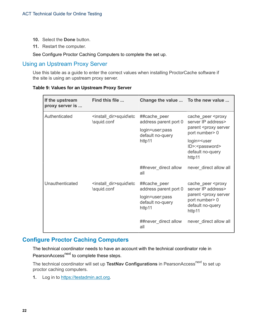- **10.** Select the **Done** button.
- **11.** Restart the computer.

See Configure Proctor Caching Computers to complete the set up.

## <span id="page-21-0"></span>Using an Upstream Proxy Server

Use this table as a guide to enter the correct values when installing ProctorCache software if the site is using an upstream proxy server.

#### **Table 9: Values for an Upstream Proxy Server**

| If the upstream<br>proxy server is | Find this file                                       | Change the value  To the new value                                                     |                                                                                                                                                 |
|------------------------------------|------------------------------------------------------|----------------------------------------------------------------------------------------|-------------------------------------------------------------------------------------------------------------------------------------------------|
| Authenticated                      | <install_dir>squid\etc<br/>\squid.conf</install_dir> | ##cache_peer<br>address parent port 0<br>login=user:pass<br>default no-query<br>http11 | cache_peer <proxy<br>server IP address&gt;<br/>parent <proxy server<="" td=""></proxy></proxy<br>                                               |
|                                    |                                                      |                                                                                        | port number > 0<br>login= <user<br>ID&gt;:<password><br/>default no-query<br/>http11</password></user<br>                                       |
|                                    |                                                      | ##never_direct allow<br>all                                                            | never_direct allow all                                                                                                                          |
| Unauthenticated                    | <install_dir>squid\etc<br/>\squid.conf</install_dir> | ##cache peer<br>address parent port 0                                                  | cache_peer <proxy<br>server IP address&gt;<br/>parent <proxy server<br="">port number &gt; 0<br/>default no-query<br/>http11</proxy></proxy<br> |
|                                    |                                                      | login=user:pass<br>default no-query<br>http11                                          |                                                                                                                                                 |
|                                    |                                                      | ##never_direct allow<br>all                                                            | never_direct allow all                                                                                                                          |

# <span id="page-21-1"></span>**Configure Proctor Caching Computers**

The technical coordinator needs to have an account with the technical coordinator role in PearsonAccess<sup>next</sup> to complete these steps.

The technical coordinator will set up TestNav Configurations in PearsonAccess<sup>next</sup> to set up proctor caching computers.

**1.** Log in to [https://testadmin.act.org.](https://testadmin.act.org)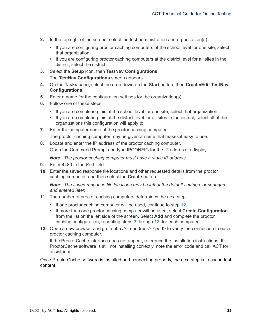- **2.** In the top right of the screen, select the test administration and organization(s).
	- If you are configuring proctor caching computers at the school level for one site, select that organization.
	- If you are configuring proctor caching computers at the district level for all sites in the district, select the district.
- <span id="page-22-1"></span>**3.** Select the **Setup** icon, then **TestNav Configurations**.

The **TestNav Configurations** screen appears.

- **4.** On the **Tasks** pane, select the drop-down on the **Start** button, then **Create/Edit TestNav Configurations**.
- **5.** Enter a name for the configuration settings for the organization(s).
- **6.** Follow one of these steps.
	- If you are completing this at the school level for one site, select that organization.
	- If you are completing this at the district level for all sites in the district, select all of the organizations this configuration will apply to.
- **7.** Enter the computer name of the proctor caching computer.

The proctor caching computer may be given a name that makes it easy to use.

**8.** Locate and enter the IP address of the proctor caching computer.

Open the Command Prompt and type IPCONFIG for the IP address to display.

*Note: The proctor caching computer must have a static IP address.*

- **9.** Enter 4480 in the Port field.
- **10.** Enter the saved response file locations and other requested details from the proctor caching computer, and then select the **Create** button.

*Note: The saved response file locations may be left at the default settings, or changed and entered later.*

- **11.** The number of proctor caching computers determines the next step.
	- If one proctor caching computer will be used, continue to step [12](#page-22-0).
	- If more than one proctor caching computer will be used, select **Create Configuration** from the list on the left side of the screen. Select **Add** and complete the proctor caching configuration, repeating steps [3](#page-22-1) through [12](#page-22-0), for each computer.
- <span id="page-22-0"></span>**12.** Open a new browser and go to http://<ip-address>:<port> to verify the connection to each proctor caching computer.

If the ProctorCache interface does not appear, reference the installation instructions. If ProctorCache software is still not installing correctly, note the error code and call ACT for assistance.

Once ProctorCache software is installed and connecting properly, the next step is to cache test content.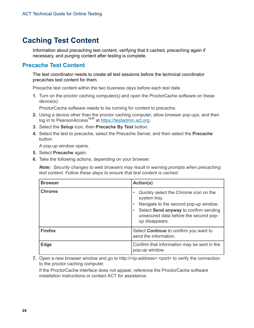# <span id="page-23-0"></span>**Caching Test Content**

Information about precaching test content, verifying that it cached, precaching again if necessary, and purging content after testing is complete.

# <span id="page-23-1"></span>**Precache Test Content**

The test coordinator needs to create all test sessions before the technical coordinator precaches test content for them.

Precache test content within the two business days before each test date.

**1.** Turn on the proctor caching computer(s) and open the ProctorCache software on these device(s).

ProctorCache software needs to be running for content to precache.

- **2.** Using a device other than the proctor caching computer, allow browser pop-ups, and then log in to PearsonAccess<sup>next</sup> at<https://testadmin.act.org>.
- **3.** Select the **Setup** icon, then **Precache By Test** button.
- **4.** Select the test to precache, select the Precache Server, and then select the **Precache** button.

A pop-up window opens.

- **5.** Select **Precache** again.
- **6.** Take the following actions, depending on your browser:

*Note: Security changes to web browsers may result in warning prompts when precaching test content. Follow these steps to ensure that test content is cached.*

| <b>Browser</b> | Action(s)                                                                                                                                                                                                                                 |  |
|----------------|-------------------------------------------------------------------------------------------------------------------------------------------------------------------------------------------------------------------------------------------|--|
| <b>Chrome</b>  | Quickly select the Chrome icon on the<br>$\bullet$<br>system tray.<br>Navigate to the second pop-up window.<br>$\bullet$<br>Select Send anyway to confirm sending<br>$\bullet$<br>unsecured data before the second pop-<br>up disappears. |  |
| <b>Firefox</b> | Select <b>Continue</b> to confirm you want to<br>send the information.                                                                                                                                                                    |  |
| <b>Edge</b>    | Confirm that information may be sent in the<br>pop-up window.                                                                                                                                                                             |  |

**7.** Open a new browser window and go to http://<ip-address>:<port> to verify the connection to the proctor caching computer.

If the ProctorCache interface does not appear, reference the ProctorCache software installation instructions or contact ACT for assistance.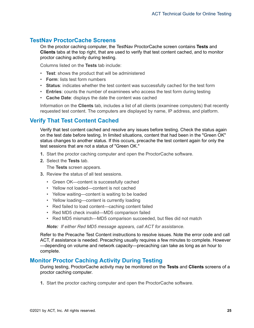# <span id="page-24-0"></span>**TestNav ProctorCache Screens**

On the proctor caching computer, the TestNav ProctorCache screen contains **Tests** and **Clients** tabs at the top right, that are used to verify that test content cached, and to monitor proctor caching activity during testing.

Columns listed on the **Tests** tab include:

- **Test**: shows the product that will be administered
- **Form**: lists test form numbers
- **Status**: indicates whether the test content was successfully cached for the test form
- **Entries**: counts the number of examinees who access the test form during testing
- **Cache Date**: displays the date the content was cached

Information on the **Clients** tab, includes a list of all clients (examinee computers) that recently requested test content. The computers are displayed by name, IP address, and platform.

# <span id="page-24-1"></span>**Verify That Test Content Cached**

Verify that test content cached and resolve any issues before testing. Check the status again on the test date before testing. In limited situations, content that had been in the "Green OK" status changes to another status. If this occurs, precache the test content again for only the test sessions that are not a status of "Green OK."

- **1.** Start the proctor caching computer and open the ProctorCache software.
- **2.** Select the **Tests** tab.

The **Tests** screen appears.

- **3.** Review the status of all test sessions.
	- Green OK—content is successfully cached
	- Yellow not loaded—content is not cached
	- Yellow waiting—content is waiting to be loaded
	- Yellow loading—content is currently loading
	- Red failed to load content—caching content failed
	- Red MD5 check invalid—MD5 comparison failed
	- Red MD5 mismatch—MD5 comparison succeeded, but files did not match

*Note: If either Red MD5 message appears, call ACT for assistance.*

Refer to the Precache Test Content instructions to resolve issues. Note the error code and call ACT, if assistance is needed. Precaching usually requires a few minutes to complete. However —depending on volume and network capacity—precaching can take as long as an hour to complete.

# <span id="page-24-2"></span>**Monitor Proctor Caching Activity During Testing**

During testing, ProctorCache activity may be monitored on the **Tests** and **Clients** screens of a proctor caching computer.

**1.** Start the proctor caching computer and open the ProctorCache software.